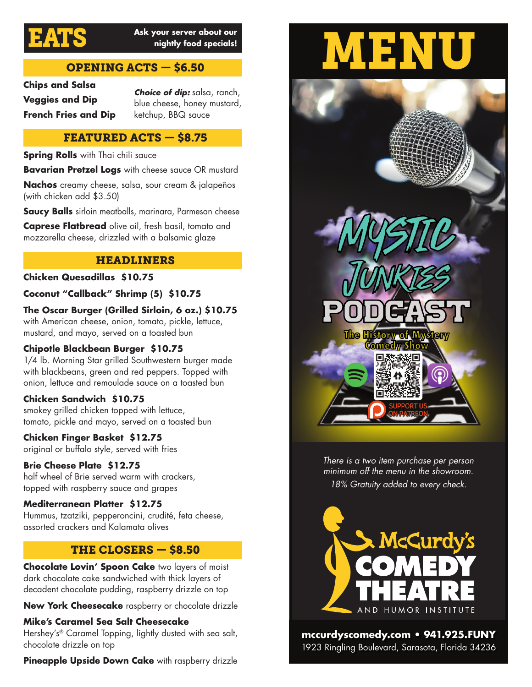

# EATS **Ask your server about our nightly food specials!**

# OPENING ACTS — \$6.50

**Chips and Salsa Veggies and Dip French Fries and Dip**

*Choice of dip:* salsa, ranch, blue cheese, honey mustard, ketchup, BBQ sauce

### FEATURED ACTS — \$8.75

**Spring Rolls** with Thai chili sauce

**Bavarian Pretzel Logs** with cheese sauce OR mustard

**Nachos** creamy cheese, salsa, sour cream & jalapeños (with chicken add \$3.50)

**Saucy Balls** sirloin meatballs, marinara, Parmesan cheese

**Caprese Flatbread** olive oil, fresh basil, tomato and mozzarella cheese, drizzled with a balsamic glaze

#### HEADLINERS

#### **Chicken Quesadillas \$10.75**

**Coconut "Callback" Shrimp (5) \$10.75**

**The Oscar Burger (Grilled Sirloin, 6 oz.) \$10.75** with American cheese, onion, tomato, pickle, lettuce, mustard, and mayo, served on a toasted bun

#### **Chipotle Blackbean Burger \$10.75**

1/4 lb. Morning Star grilled Southwestern burger made with blackbeans, green and red peppers. Topped with onion, lettuce and remoulade sauce on a toasted bun

#### **Chicken Sandwich \$10.75**

smokey grilled chicken topped with lettuce, tomato, pickle and mayo, served on a toasted bun

#### **Chicken Finger Basket \$12.75**

original or buffalo style, served with fries

#### **Brie Cheese Plate \$12.75**

half wheel of Brie served warm with crackers, topped with raspberry sauce and grapes

#### **Mediterranean Platter \$12.75**

Hummus, tzatziki, pepperoncini, crudité, feta cheese, assorted crackers and Kalamata olives

# THE CLOSERS — \$8.50

**Chocolate Lovin' Spoon Cake** two layers of moist dark chocolate cake sandwiched with thick layers of decadent chocolate pudding, raspberry drizzle on top

**New York Cheesecake** raspberry or chocolate drizzle

**Mike's Caramel Sea Salt Cheesecake**  Hershey's® Caramel Topping, lightly dusted with sea salt, chocolate drizzle on top

**Pineapple Upside Down Cake** with raspberry drizzle





*There is a two item purchase per person minimum off the menu in the showroom. 18% Gratuity added to every check.*



**mccurdyscomedy.com • 941.925.FUNY** 1923 Ringling Boulevard, Sarasota, Florida 34236